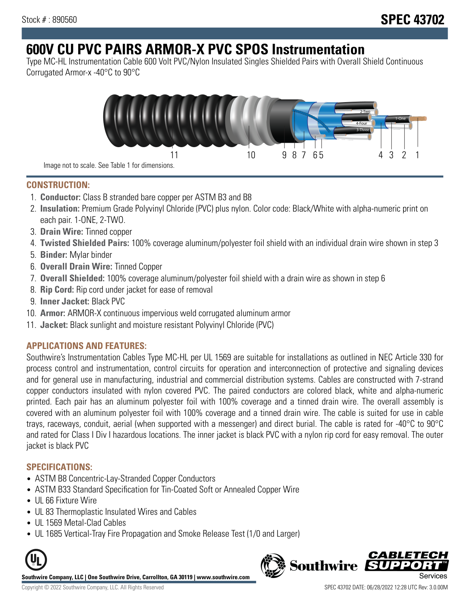# **600V CU PVC PAIRS ARMOR-X PVC SPOS Instrumentation**

Type MC-HL Instrumentation Cable 600 Volt PVC/Nylon Insulated Singles Shielded Pairs with Overall Shield Continuous Corrugated Armor-x -40°C to 90°C



**CONSTRUCTION:**

- 1. **Conductor:** Class B stranded bare copper per ASTM B3 and B8
- 2. **Insulation:** Premium Grade Polyvinyl Chloride (PVC) plus nylon. Color code: Black/White with alpha-numeric print on each pair. 1-ONE, 2-TWO.
- 3. **Drain Wire:** Tinned copper
- 4. **Twisted Shielded Pairs:** 100% coverage aluminum/polyester foil shield with an individual drain wire shown in step 3
- 5. **Binder:** Mylar binder
- 6. **Overall Drain Wire:** Tinned Copper
- 7. **Overall Shielded:** 100% coverage aluminum/polyester foil shield with a drain wire as shown in step 6
- 8. **Rip Cord:** Rip cord under jacket for ease of removal
- 9. **Inner Jacket:** Black PVC
- 10. **Armor:** ARMOR-X continuous impervious weld corrugated aluminum armor
- 11. **Jacket:** Black sunlight and moisture resistant Polyvinyl Chloride (PVC)

## **APPLICATIONS AND FEATURES:**

Southwire's Instrumentation Cables Type MC-HL per UL 1569 are suitable for installations as outlined in NEC Article 330 for process control and instrumentation, control circuits for operation and interconnection of protective and signaling devices and for general use in manufacturing, industrial and commercial distribution systems. Cables are constructed with 7-strand copper conductors insulated with nylon covered PVC. The paired conductors are colored black, white and alpha-numeric printed. Each pair has an aluminum polyester foil with 100% coverage and a tinned drain wire. The overall assembly is covered with an aluminum polyester foil with 100% coverage and a tinned drain wire. The cable is suited for use in cable trays, raceways, conduit, aerial (when supported with a messenger) and direct burial. The cable is rated for -40°C to 90°C and rated for Class I Div I hazardous locations. The inner jacket is black PVC with a nylon rip cord for easy removal. The outer jacket is black PVC

### **SPECIFICATIONS:**

- ASTM B8 Concentric-Lay-Stranded Copper Conductors
- ASTM B33 Standard Specification for Tin-Coated Soft or Annealed Copper Wire
- UL 66 Fixture Wire
- UL 83 Thermoplastic Insulated Wires and Cables
- UL 1569 Metal-Clad Cables
- UL 1685 Vertical-Tray Fire Propagation and Smoke Release Test (1/0 and Larger)



**Southwire Company, LLC | One Southwire Drive, Carrollton, GA 30119 | www.southwire.com**